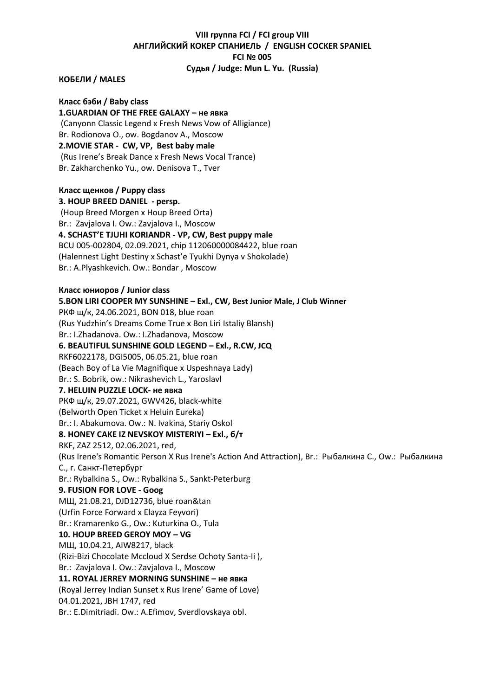# **VIII группа FCI / FCI group VIII АНГЛИЙСКИЙ КОКЕР СПАНИЕЛЬ / ENGLISH COCKER SPANIEL FCI № 005 Судья / Judge: Mun L. Yu. (Russia)**

#### **КОБЕЛИ / MALES**

**Класс бэби / Baby class 1.GUARDIAN OF THE FREE GALAXY – не явка** (Canyonn Classic Legend x Fresh News Vow of Alligiance) Br. Rodionova O., ow. Bogdanov A., Moscow **2.MOVIE STAR - СW, VP, Best baby male** (Rus Irene's Break Dance x Fresh News Vocal Trance) Br. Zakharchenko Yu., ow. Denisova T., Tver

# **Класс щенков / Puppy class 3. HOUP BREED DANIEL - persp.** (Houp Breed Morgen x Houp Breed Orta) Br.: Zavjalova I. Ow.: Zavjalova I., Moscow **4. SCHAST'E TJUHI KORIANDR - VP, СW, Best puppy male** BCU 005-002804, 02.09.2021, chip 112060000084422, blue roan (Halennest Light Destiny x Schast'e Tyukhi Dynya v Shokolade) Br.: A.Plyashkevich. Ow.: Bondar , Moscow **Класс юниоров / Junior class**

**5.BON LIRI COOPER MY SUNSHINE – Exl., CW, Best Junior Male, J Club Winner** РКФ щ/к, 24.06.2021, BON 018, blue roan (Rus Yudzhin's Dreams Come True x Bon Liri Istaliy Blansh) Br.: I.Zhadanova. Ow.: I.Zhadanova, Moscow **6. BEAUTIFUL SUNSHINE GOLD LEGEND – Exl., R.CW, JСQ** RKF6022178, DGI5005, 06.05.21, blue roan (Beach Boy of La Vie Magnifique x Uspeshnaya Lady) Br.: S. Bobrik, ow.: Nikrashevich L., Yaroslavl **7. HELUIN PUZZLE LOCK- не явка** РКФ щ/к, 29.07.2021, GWV426, black-white (Belworth Open Ticket x Heluin Eureka) Br.: I. Abakumova. Ow.: N. Ivakina, Stariy Oskol **8. HONEY CAKE IZ NEVSKOY MISTERIYI – Exl., б/т** RKF, ZAZ 2512, 02.06.2021, red, (Rus Irene's Romantic Person X Rus Irene's Action And Attraction), Br.: Рыбалкина С., Ow.: Рыбалкина С., г. Санкт-Петербург Br.: Rybalkina S., Ow.: Rybalkina S., Sankt-Peterburg **9. FUSION FOR LOVE - Goog** МЩ, 21.08.21, DJD12736, blue roan&tan (Urfin Force Forward x Elayza Feyvori) Br.: Kramarenko G., Ow.: Kuturkina O., Tula **10. HOUP BREED GEROY MOY – VG** МЩ, 10.04.21, AIW8217, black (Rizi-Bizi Chocolate Mccloud Х Serdse Ochoty Santa-Ii ), Br.: Zavjalova I. Ow.: Zavjalova I., Moscow **11. ROYAL JERREY MORNING SUNSHINE – не явка** (Royal Jerrey Indian Sunset x Rus Irene' Game of Love) 04.01.2021, JBH 1747, red Br.: E.Dimitriadi. Ow.: A.Efimov, Sverdlovskaya obl.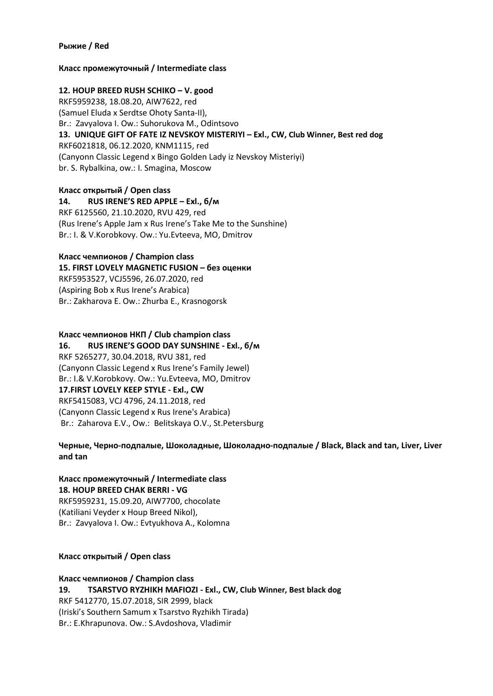#### **Рыжие / Red**

## **Класс промежуточный / Intermediate class**

## **12. HOUP BREED RUSH SCHIKO – V. good**

RKF5959238, 18.08.20, AIW7622, red (Samuel Eluda x Serdtse Ohoty Santa-II), Br.: Zavyalova I. Ow.: Suhorukova M., Odintsovo **13. UNIQUE GIFT OF FATE IZ NEVSKOY MISTERIYI – Exl., CW, Club Winner, Best red dog** RKF6021818, 06.12.2020, KNM1115, red (Canyonn Classic Legend x Bingo Golden Lady iz Nevskoy Misteriyi) br. S. Rybalkina, ow.: I. Smagina, Moscow

**Класс открытый / Open class 14. RUS IRENE'S RED APPLE – Exl., б/м** RKF 6125560, 21.10.2020, RVU 429, red (Rus Irene's Apple Jam x Rus Irene's Take Me to the Sunshine) Br.: I. & V.Korobkovy. Ow.: Yu.Evteeva, MO, Dmitrov

#### **Класс чемпионов / Champion class**

**15. FIRST LOVELY MAGNETIC FUSION – без оценки**

RKF5953527, VCJ5596, 26.07.2020, red (Aspiring Bob x Rus Irene's Arabica) Br.: Zakharova E. Ow.: Zhurba E., Krasnogorsk

#### **Класс чемпионов НКП / Club champion class**

**16. RUS IRENE'S GOOD DAY SUNSHINE - Exl., б/м** RKF 5265277, 30.04.2018, RVU 381, red (Canyonn Classic Legend x Rus Irene's Family Jewel) Br.: I.& V.Korobkovy. Ow.: Yu.Evteeva, MO, Dmitrov **17.FIRST LOVELY KEEP STYLE - Exl., CW** RKF5415083, VCJ 4796, 24.11.2018, red (Canyonn Classic Legend x Rus Irene's Arabica) Br.: Zaharova E.V., Ow.: Belitskaya О.V., St.Petersburg

**Черные, Черно-подпалые, Шоколадные, Шоколадно-подпалые / Black, Black and tan, Liver, Liver and tan**

#### **Класс промежуточный / Intermediate class 18. HOUP BREED CHAK BERRI - VG**

RKF5959231, 15.09.20, AIW7700, chocolate (Katiliani Veyder x Houp Breed Nikol), Br.: Zavyalova I. Ow.: Evtyukhova A., Kolomna

#### **Класс открытый / Open class**

**Класс чемпионов / Champion class 19. TSARSTVO RYZHIKH MAFIOZI - Exl., CW, Club Winner, Best black dog** RKF 5412770, 15.07.2018, SIR 2999, black (Iriski's Southern Samum x Tsarstvo Ryzhikh Tirada) Br.: E.Khrapunova. Ow.: S.Avdoshova, Vladimir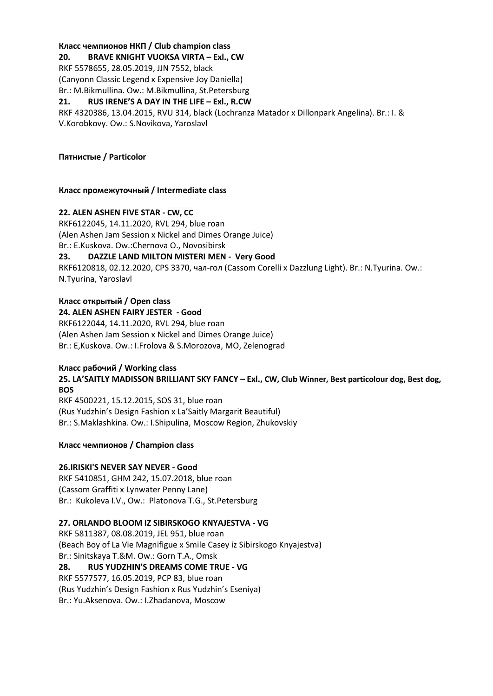## **Класс чемпионов НКП / Club champion class**

**20. BRAVE KNIGHT VUOKSA VIRTA – Exl., CW**

RKF 5578655, 28.05.2019, JJN 7552, black

(Canyonn Classic Legend x Expensive Joy Daniella)

Br.: M.Bikmullina. Ow.: M.Bikmullina, St.Petersburg

**21. RUS IRENE'S A DAY IN THE LIFE – Exl., R.CW**

RKF 4320386, 13.04.2015, RVU 314, black (Lochranza Matador x Dillonpark Angelina). Br.: I. & V.Korobkovy. Ow.: S.Novikova, Yaroslavl

# **Пятнистые / Particolor**

## **Класс промежуточный / Intermediate class**

## **22. ALEN ASHEN FIVE STAR - CW, CC**

RKF6122045, 14.11.2020, RVL 294, blue roan (Alen Ashen Jam Session x Nickel and Dimes Orange Juice) Br.: E.Kuskova. Ow.:Chernova O., Novosibirsk

# **23. DAZZLE LAND MILTON MISTERI MEN - Very Good**

RKF6120818, 02.12.2020, CPS 3370, чал-гол (Cassom Corelli x Dazzlung Light). Br.: N.Tyurina. Ow.: N.Tyurina, Yaroslavl

# **Класс открытый / Open class**

#### **24. ALEN ASHEN FAIRY JESTER - Good**

RKF6122044, 14.11.2020, RVL 294, blue roan (Alen Ashen Jam Session x Nickel and Dimes Orange Juice) Br.: E,Kuskova. Ow.: I.Frolova & S.Morozova, MO, Zelenograd

# **Класс рабочий / Working class**

**25. LA'SAITLY MADISSON BRILLIANT SKY FANCY – Exl., CW, Club Winner, Best particolour dog, Best dog, BOS**

RKF 4500221, 15.12.2015, SOS 31, blue roan (Rus Yudzhin's Design Fashion x La'Saitly Margarit Beautiful) Br.: S.Maklashkina. Ow.: I.Shipulina, Moscow Region, Zhukovskiy

# **Класс чемпионов / Champion class**

# **26.IRISKI'S NEVER SAY NEVER - Good**

RKF 5410851, GHM 242, 15.07.2018, blue roan (Cassom Graffiti х Lynwater Penny Lane) Br.: Kukoleva I.V., Ow.: Platonova T.G., St.Petersburg

# **27. ORLANDO BLOOM IZ SIBIRSKOGO KNYAJESTVA - VG**

RKF 5811387, 08.08.2019, JEL 951, blue roan (Beach Boy of La Vie Magnifigue x Smilе Casey iz Sibirskogo Knyajestva) Br.: Sinitskaya T.&M. Ow.: Gorn T.A., Omsk

# **28. RUS YUDZHIN'S DREAMS COME TRUE - VG**

RKF 5577577, 16.05.2019, PCP 83, blue roan (Rus Yudzhin's Design Fashion x Rus Yudzhin's Eseniya) Br.: Yu.Aksenova. Ow.: I.Zhadanova, Moscow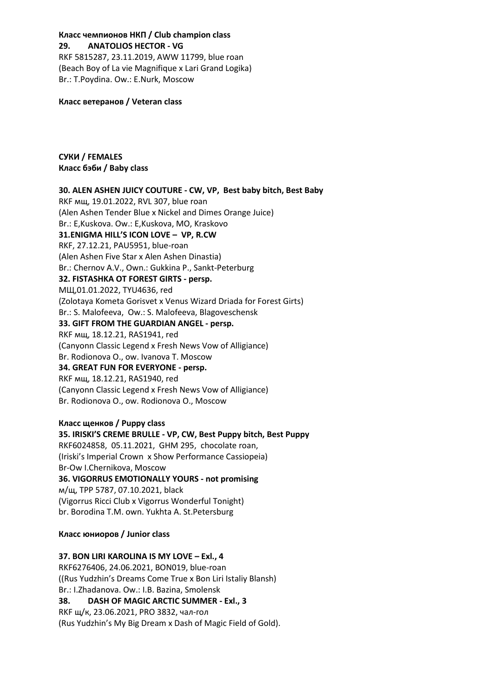# **Класс чемпионов НКП / Club champion class 29. ANATOLIOS HECTOR - VG** RKF 5815287, 23.11.2019, AWW 11799, blue roan

(Beach Boy of La vie Magnifique x Lari Grand Logika) Br.: T.Poydina. Ow.: E.Nurk, Moscow

#### **Класс ветеранов / Veteran class**

# **СУКИ / FEMALES Класс бэби / Baby class**

# **30. ALEN ASHEN JUICY COUTURE - СW, VP, Best baby bitch, Best Baby** RKF мщ, 19.01.2022, RVL 307, blue roan (Alen Ashen Tender Blue x Nickel and Dimes Orange Juice) Br.: E,Kuskova. Ow.: E,Kuskova, MO, Kraskovo **31.ENIGMA HILL'S ICON LOVE – VP, R.CW** RKF, 27.12.21, PAU5951, blue-roan (Alen Ashen Five Star x Alen Ashen Dinastia) Br.: Chernov A.V., Own.: Gukkina P., Sankt-Peterburg **32. FISTASHKA OT FOREST GIRTS - persp.** МЩ,01.01.2022, TYU4636, red (Zolotaya Kometa Gorisvet x Venus Wizard Driada for Forest Girts) Br.: S. Malofeeva, Ow.: S. Malofeeva, Blagoveschensk **33. GIFT FROM THE GUARDIAN ANGEL - persp.** RKF мщ, 18.12.21, RAS1941, red (Canyonn Classic Legend x Fresh News Vow of Alligiance) Br. Rodionova O., ow. Ivanova T. Moscow **34. GREAT FUN FOR EVERYONE - persp.** RKF мщ, 18.12.21, RAS1940, red (Canyonn Classic Legend x Fresh News Vow of Alligiance) Br. Rodionova O., ow. Rodionova O., Moscow

**Класс щенков / Puppy class 35. IRISKI'S CREME BRULLE - VP, CW, Best Puppy bitch, Best Puppy** RKF6024858, 05.11.2021, GHM 295, chocolate roan, (Iriski's Imperial Crown x Show Performance Cassiopeia) Br-Ow I.Chernikova, Moscow **36. VIGORRUS EMOTIONALLY YOURS - not promising** м/щ, TPP 5787, 07.10.2021, black (Vigorrus Ricci Club x Vigorrus Wonderful Tonight) br. Borodina T.M. own. Yukhta A. St.Petersburg

#### **Класс юниоров / Junior class**

# **37. BON LIRI KAROLINA IS MY LOVE – Exl., 4**

RKF6276406, 24.06.2021, BON019, blue-roan ((Rus Yudzhin's Dreams Come True x Bon Liri Istaliy Blansh) Br.: I.Zhadanova. Ow.: I.B. Bazina, Smolensk **38. DASH OF MAGIC ARCTIC SUMMER - Exl., 3**

RKF щ/к, 23.06.2021, PRO 3832, чал-гол (Rus Yudzhin's My Big Dream x Dash of Magic Field of Gold).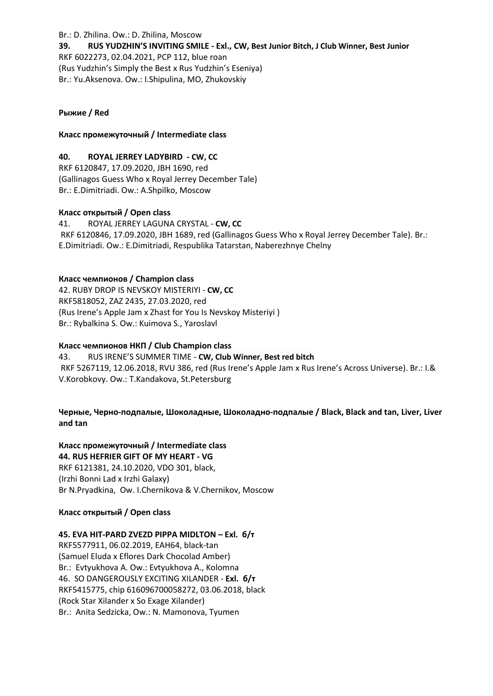#### Br.: D. Zhilina. Ow.: D. Zhilina, Moscow

**39. RUS YUDZHIN'S INVITING SMILE - Exl., CW, Best Junior Bitch, J Club Winner, Best Junior** RKF 6022273, 02.04.2021, PCP 112, blue roan (Rus Yudzhin's Simply the Best x Rus Yudzhin's Eseniya) Br.: Yu.Aksenova. Ow.: I.Shipulina, MO, Zhukovskiy

## **Рыжие / Red**

## **Класс промежуточный / Intermediate class**

## **40. ROYAL JERREY LADYBIRD - CW, CC**

RKF 6120847, 17.09.2020, JBH 1690, red (Gallinagos Guess Who x Royal Jerrey December Tale) Br.: E.Dimitriadi. Ow.: A.Shpilko, Moscow

## **Класс открытый / Open class**

41. ROYAL JERREY LAGUNA CRYSTAL - **CW, CC** RKF 6120846, 17.09.2020, JBH 1689, red (Gallinagos Guess Who x Royal Jerrey December Tale). Br.: E.Dimitriadi. Ow.: E.Dimitriadi, Respublika Tatarstan, Naberezhnye Chelny

## **Класс чемпионов / Champion class**

42. RUBY DROP IS NEVSKOY MISTERIYI - **CW, CC** RKF5818052, ZAZ 2435, 27.03.2020, red (Rus Irene's Apple Jam x Zhast for You Is Nevskoy Misteriyi ) Br.: Rybalkina S. Ow.: Kuimova S., Yaroslavl

#### **Класс чемпионов НКП / Club Champion class**

43. RUS IRENE'S SUMMER TIME - **CW, Club Winner, Best red bitch** RKF 5267119, 12.06.2018, RVU 386, red (Rus Irene's Apple Jam x Rus Irene's Across Universe). Br.: I.& V.Korobkovy. Ow.: T.Kandakova, St.Petersburg

# **Черные, Черно-подпалые, Шоколадные, Шоколадно-подпалые / Black, Black and tan, Liver, Liver and tan**

# **Класс промежуточный / Intermediate class**

**44. RUS HEFRIER GIFT OF MY HEART - VG** RKF 6121381, 24.10.2020, VDO 301, black, (Irzhi Bonni Lad x Irzhi Galaxy) Br N.Pryadkina, Ow. I.Chernikova & V.Chernikov, Moscow

#### **Класс открытый / Open class**

# **45. EVA HIT-PARD ZVEZD PIPPA MIDLTON – Exl. б/т**

RKF5577911, 06.02.2019, EAH64, black-tan (Samuel Eluda x Eflores Dark Chocolad Amber) Br.: Evtyukhova A. Ow.: Evtyukhova A., Kolomna 46. SO DANGEROUSLY EXCITING XILANDER - **Exl. б/т** RKF5415775, chip 616096700058272, 03.06.2018, black (Rock Star Xilander x So Exage Xilander) Br.: Anita Sedzicka, Ow.: N. Mamonova, Tyumen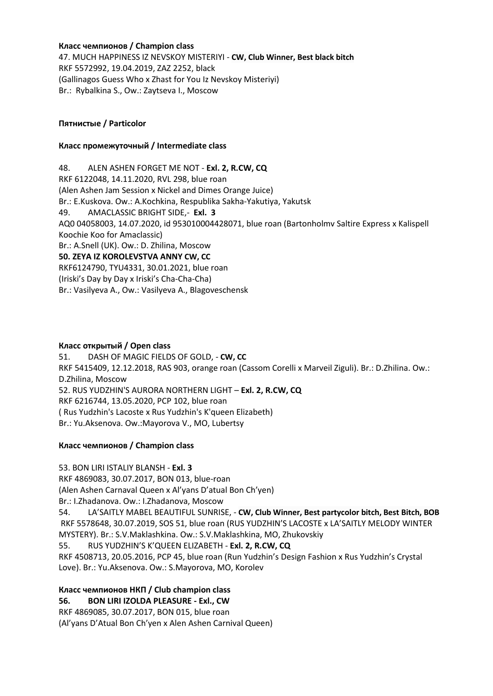**Класс чемпионов / Champion class**

47. MUCH HAPPINESS IZ NEVSKOY MISTERIYI - **CW, Club Winner, Best black bitch** RKF 5572992, 19.04.2019, ZAZ 2252, black (Gallinagos Guess Who x Zhast for You Iz Nevskoy Misteriyi) Br.: Rybalkina S., Ow.: Zaytseva I., Moscow

## **Пятнистые / Particolor**

#### **Класс промежуточный / Intermediate class**

48. ALEN ASHEN FORGET ME NOT - **Exl. 2, R.CW, CQ** RKF 6122048, 14.11.2020, RVL 298, blue roan (Alen Ashen Jam Session x Nickel and Dimes Orange Juice) Br.: E.Kuskova. Ow.: A.Kochkina, Respublika Sakha-Yakutiya, Yakutsk 49. AMACLASSIC BRIGHT SIDE,- **Exl. 3** AQ0 04058003, 14.07.2020, id 953010004428071, blue roan (Bartonholmv Saltire Express x Kalispell Koochie Koo for Amaclassic) Br.: A.Snell (UK). Ow.: D. Zhilina, Moscow **50. ZEYA IZ KOROLEVSTVA ANNY CW, CC** RKF6124790, TYU4331, 30.01.2021, blue roan (Iriski's Day by Day x Iriski's Cha-Cha-Cha) Br.: Vasilyeva A., Ow.: Vasilyeva A., Blagoveschensk

#### **Класс открытый / Open class**

51. DASH OF MAGIC FIELDS OF GOLD, - **CW, CC** RKF 5415409, 12.12.2018, RAS 903, orange roan (Cassom Corelli x Marveil Ziguli). Br.: D.Zhilina. Ow.: D.Zhilina, Moscow 52. RUS YUDZHIN'S AURORA NORTHERN LIGHT – **Exl. 2, R.CW, CQ** RKF 6216744, 13.05.2020, РСР 102, blue roan ( Rus Yudzhin's Lacoste x Rus Yudzhin's K'queen Elizabeth) Br.: Yu.Aksenova. Ow.:Mayorova V., MO, Lubertsy

#### **Класс чемпионов / Champion class**

53. BON LIRI ISTALIY BLANSH - **Exl. 3**

RKF 4869083, 30.07.2017, BON 013, blue-roan

(Alen Ashen Carnaval Queen х Al'yans D'atual Bon Ch'yen)

Br.: I.Zhadanova. Ow.: I.Zhadanova, Moscow

54. LA'SAITLY MABEL BEAUTIFUL SUNRISE, - **CW, Club Winner, Best partycolor bitch, Best Bitch, BOB** RKF 5578648, 30.07.2019, SOS 51, blue roan (RUS YUDZHIN'S LACOSTE x LA'SAITLY MELODY WINTER MYSTERY). Br.: S.V.Maklashkina. Ow.: S.V.Maklashkina, MO, Zhukovskiy

55. RUS YUDZHIN'S K'QUEEN ELIZABETH - **Exl. 2, R.CW, CQ**

RKF 4508713, 20.05.2016, PCP 45, blue roan (Run Yudzhin's Design Fashion x Rus Yudzhin's Crystal Love). Br.: Yu.Aksenova. Ow.: S.Mayorova, MO, Korolev

**Класс чемпионов НКП / Club champion class 56. BON LIRI IZOLDA PLEASURE - Exl., CW** RKF 4869085, 30.07.2017, BON 015, blue roan (Al'yans D'Atual Bon Ch'yen x Alen Ashen Carnival Queen)